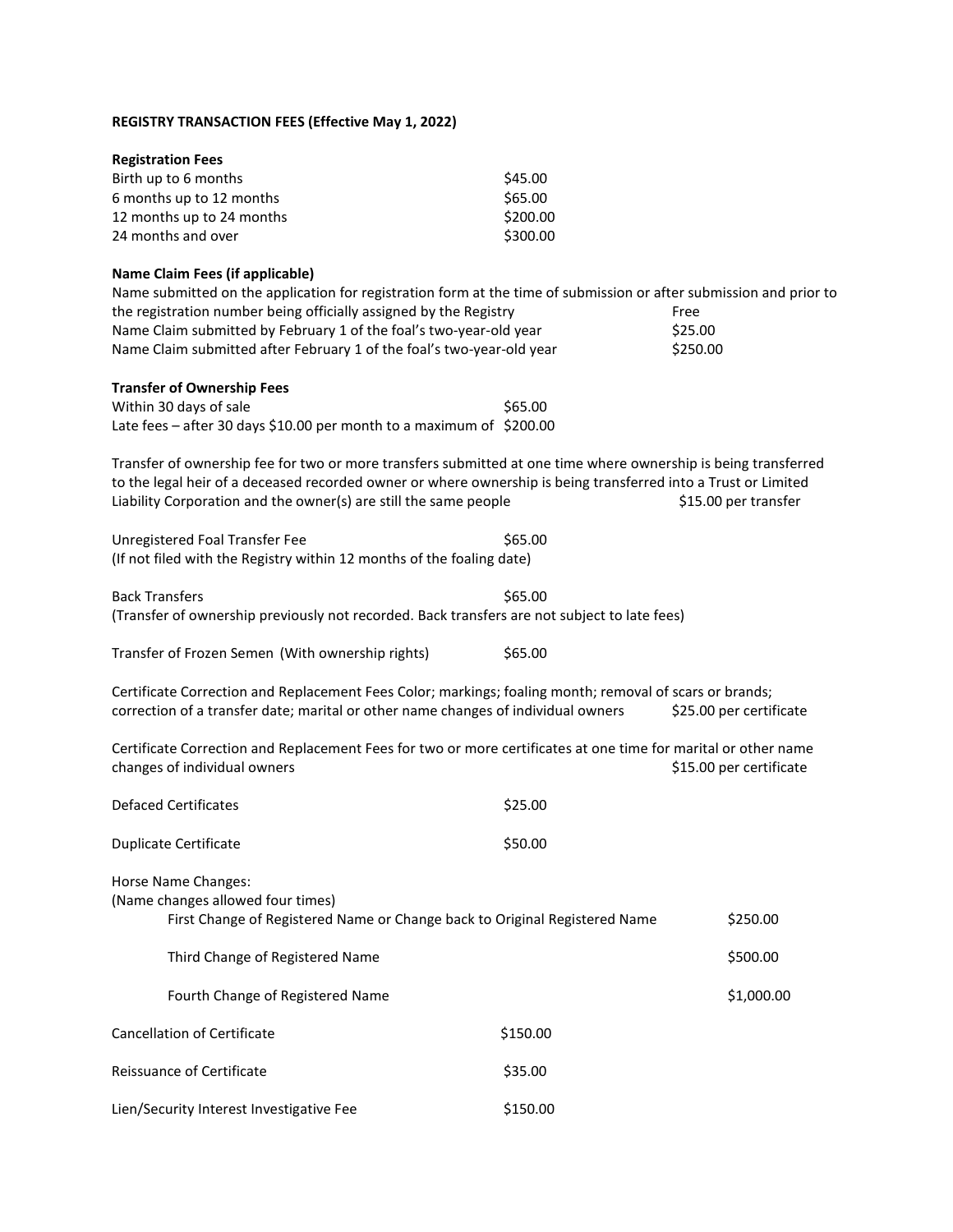## **REGISTRY TRANSACTION FEES (Effective May 1, 2022)**

| <b>Registration Fees</b>  |          |
|---------------------------|----------|
| Birth up to 6 months      | \$45.00  |
| 6 months up to 12 months  | \$65.00  |
| 12 months up to 24 months | \$200.00 |
| 24 months and over        | \$300.00 |

## **Name Claim Fees (if applicable)**

Name submitted on the application for registration form at the time of submission or after submission and prior to the registration number being officially assigned by the Registry Free Name Claim submitted by February 1 of the foal's two-year-old year \$25.00 Name Claim submitted after February 1 of the foal's two-year-old year \$250.00

## **Transfer of Ownership Fees**

| Within 30 days of sale                                               | \$65.00 |
|----------------------------------------------------------------------|---------|
| Late fees - after 30 days \$10.00 per month to a maximum of \$200.00 |         |

Transfer of ownership fee for two or more transfers submitted at one time where ownership is being transferred to the legal heir of a deceased recorded owner or where ownership is being transferred into a Trust or Limited Liability Corporation and the owner(s) are still the same people \$15.00 per transfer

| Unregistered Foal Transfer Fee                                        | \$65.00 |
|-----------------------------------------------------------------------|---------|
| (If not filed with the Registry within 12 months of the foaling date) |         |

Back Transfers \$65.00 (Transfer of ownership previously not recorded. Back transfers are not subject to late fees)

| Transfer of Frozen Semen (With ownership rights) |  | \$65.00 |
|--------------------------------------------------|--|---------|
|--------------------------------------------------|--|---------|

Certificate Correction and Replacement Fees Color; markings; foaling month; removal of scars or brands; correction of a transfer date; marital or other name changes of individual owners \$25.00 per certificate

Certificate Correction and Replacement Fees for two or more certificates at one time for marital or other name changes of individual owners  $\overline{\phantom{a}}$  and  $\overline{\phantom{a}}$  and  $\overline{\phantom{a}}$  and  $\overline{\phantom{a}}$  berefore  $\overline{\phantom{a}}$  control  $\overline{\phantom{a}}$  berefore  $\overline{\phantom{a}}$  and  $\overline{\phantom{a}}$  and  $\overline{\phantom{a}}$  and  $\overline{\phantom{a}}$  and  $\overline{\phantom{a}}$  and  $\over$ 

| Defaced Certificates  | \$25.00 |
|-----------------------|---------|
| Duplicate Certificate | \$50.00 |

Horse Name Changes:

| (Name changes allowed four times)                                          |          |            |
|----------------------------------------------------------------------------|----------|------------|
| First Change of Registered Name or Change back to Original Registered Name |          | \$250.00   |
| Third Change of Registered Name                                            |          | \$500.00   |
| Fourth Change of Registered Name                                           |          | \$1,000.00 |
| <b>Cancellation of Certificate</b>                                         | \$150.00 |            |
| Reissuance of Certificate                                                  | \$35.00  |            |
| Lien/Security Interest Investigative Fee                                   | \$150.00 |            |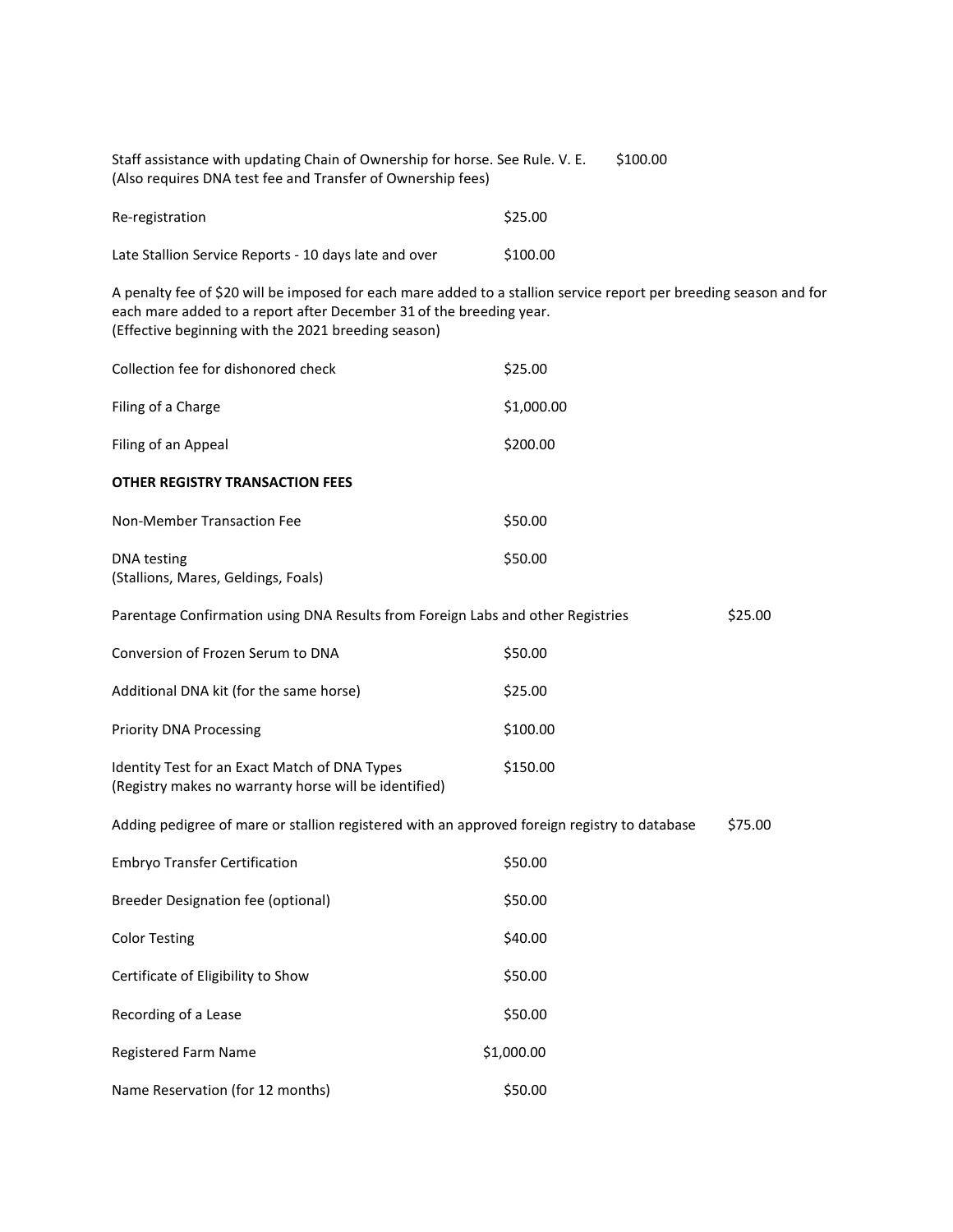| Staff assistance with updating Chain of Ownership for horse. See Rule. V. E.<br>(Also requires DNA test fee and Transfer of Ownership fees)                                                                                                      | \$100.00   |         |
|--------------------------------------------------------------------------------------------------------------------------------------------------------------------------------------------------------------------------------------------------|------------|---------|
| Re-registration                                                                                                                                                                                                                                  | \$25.00    |         |
| Late Stallion Service Reports - 10 days late and over                                                                                                                                                                                            | \$100.00   |         |
| A penalty fee of \$20 will be imposed for each mare added to a stallion service report per breeding season and for<br>each mare added to a report after December 31 of the breeding year.<br>(Effective beginning with the 2021 breeding season) |            |         |
| Collection fee for dishonored check                                                                                                                                                                                                              | \$25.00    |         |
| Filing of a Charge                                                                                                                                                                                                                               | \$1,000.00 |         |
| Filing of an Appeal                                                                                                                                                                                                                              | \$200.00   |         |
| <b>OTHER REGISTRY TRANSACTION FEES</b>                                                                                                                                                                                                           |            |         |
| Non-Member Transaction Fee                                                                                                                                                                                                                       | \$50.00    |         |
| <b>DNA</b> testing<br>(Stallions, Mares, Geldings, Foals)                                                                                                                                                                                        | \$50.00    |         |
| Parentage Confirmation using DNA Results from Foreign Labs and other Registries                                                                                                                                                                  |            | \$25.00 |
| Conversion of Frozen Serum to DNA                                                                                                                                                                                                                | \$50.00    |         |
| Additional DNA kit (for the same horse)                                                                                                                                                                                                          | \$25.00    |         |
| <b>Priority DNA Processing</b>                                                                                                                                                                                                                   | \$100.00   |         |
| Identity Test for an Exact Match of DNA Types<br>(Registry makes no warranty horse will be identified)                                                                                                                                           | \$150.00   |         |
| Adding pedigree of mare or stallion registered with an approved foreign registry to database                                                                                                                                                     |            | \$75.00 |
| <b>Embryo Transfer Certification</b>                                                                                                                                                                                                             | \$50.00    |         |
| <b>Breeder Designation fee (optional)</b>                                                                                                                                                                                                        | \$50.00    |         |
| <b>Color Testing</b>                                                                                                                                                                                                                             | \$40.00    |         |
| Certificate of Eligibility to Show                                                                                                                                                                                                               | \$50.00    |         |
| Recording of a Lease                                                                                                                                                                                                                             | \$50.00    |         |
| Registered Farm Name                                                                                                                                                                                                                             | \$1,000.00 |         |
| Name Reservation (for 12 months)                                                                                                                                                                                                                 | \$50.00    |         |